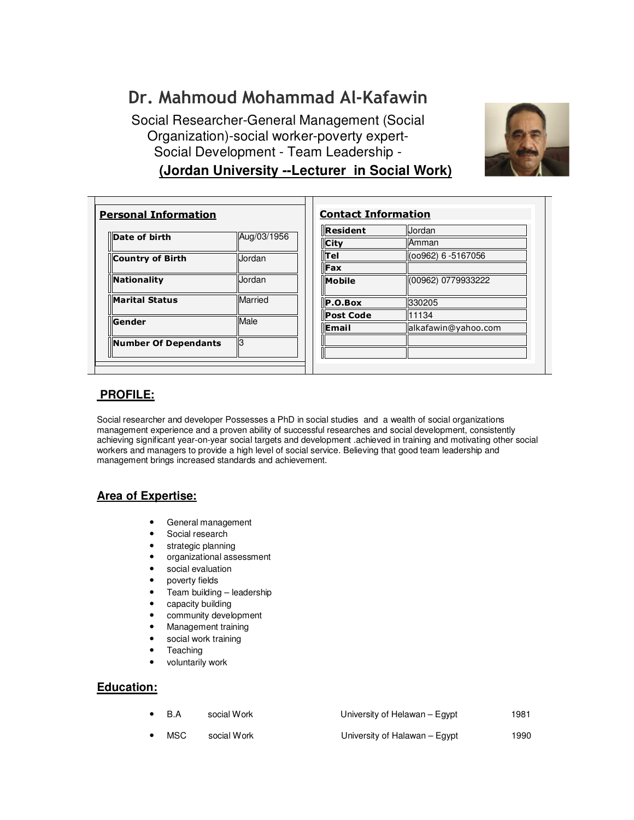# Dr. Mahmoud Mohammad Al-Kafawin

**(Jordan University --Lecturer in Social Work)** Social Researcher-General Management (Social Organization)-social worker-poverty expert-Social Development - Team Leadership -



| Country of Birth      | Jordan  |
|-----------------------|---------|
| <b>Nationality</b>    | Jordan  |
| <b>Marital Status</b> | Married |
| Gender                | Male    |

| Resident         | Jordan              |
|------------------|---------------------|
| <b>City</b>      | Amman               |
| ∥⊤el             | (00962) 6 -5167056  |
| $\parallel$ Fax  |                     |
| <b>Mobile</b>    | (00962) 0779933222  |
| P.O.Box          | 330205              |
| <b>Post Code</b> | 11134               |
| <b>llEmail</b>   | alkafawin@yahoo.com |
|                  |                     |
|                  |                     |

# **PROFILE:**

Social researcher and developer Possesses a PhD in social studies and a wealth of social organizations management experience and a proven ability of successful researches and social development, consistently achieving significant year-on-year social targets and development .achieved in training and motivating other social workers and managers to provide a high level of social service. Believing that good team leadership and management brings increased standards and achievement.

# **Area of Expertise:**

- General management
- Social research
- strategic planning
- organizational assessment
- social evaluation
- poverty fields
- Team building leadership
- capacity building
- community development
- Management training
- social work training
- **Teaching**
- voluntarily work

# **Education:**

- B.A social Work University of Helawan Egypt 1981
	- MSC social Work University of Halawan Egypt 1990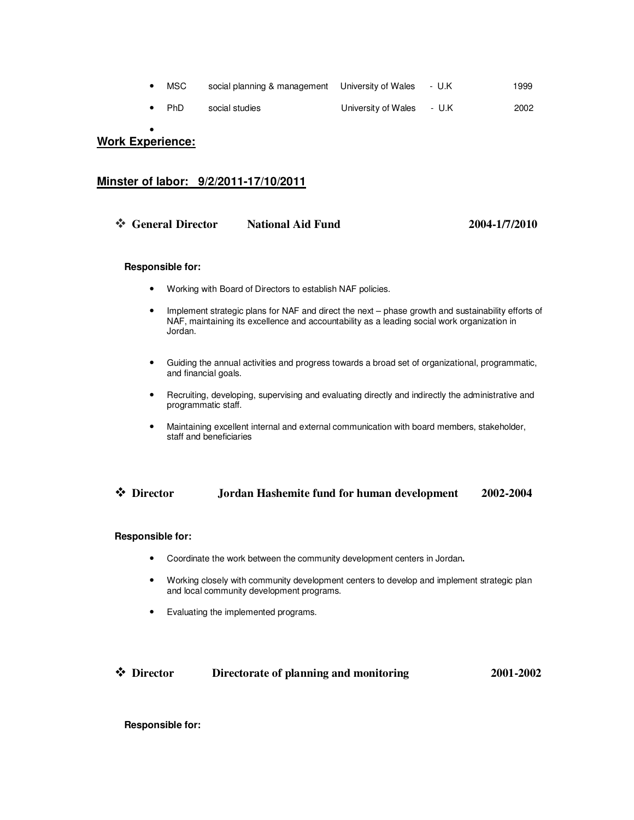| $\bullet$ MSC | social planning & management University of Wales - U.K |  | 1999 |
|---------------|--------------------------------------------------------|--|------|
|               |                                                        |  |      |

• PhD social studies University of Wales - U.K 2002

•

# **Work Experience:**

## **Minster of labor: 9/2/2011-17/10/2011**

| ❖ General Director | <b>National Aid Fund</b> | 2004-1/7/2010 |
|--------------------|--------------------------|---------------|
|                    |                          |               |

#### **Responsible for:**

- Working with Board of Directors to establish NAF policies.
- Implement strategic plans for NAF and direct the next phase growth and sustainability efforts of NAF, maintaining its excellence and accountability as a leading social work organization in Jordan.
- Guiding the annual activities and progress towards a broad set of organizational, programmatic, and financial goals.
- Recruiting, developing, supervising and evaluating directly and indirectly the administrative and programmatic staff.
- Maintaining excellent internal and external communication with board members, stakeholder, staff and beneficiaries

### **Director Jordan Hashemite fund for human development 2002-2004**

#### **Responsible for:**

- Coordinate the work between the community development centers in Jordan**.**
- Working closely with community development centers to develop and implement strategic plan and local community development programs.
- Evaluating the implemented programs.

## **Director Directorate of planning and monitoring 2001-2002**

#### **Responsible for:**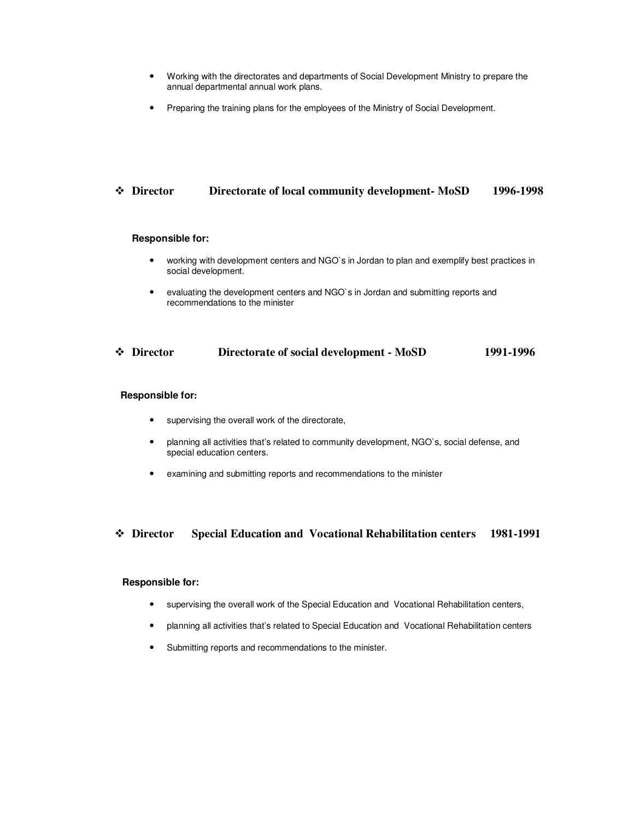- Working with the directorates and departments of Social Development Ministry to prepare the annual departmental annual work plans.
- Preparing the training plans for the employees of the Ministry of Social Development.

## **Director Directorate of local community development- MoSD 1996-1998**

#### **Responsible for:**

- working with development centers and NGO`s in Jordan to plan and exemplify best practices in social development.
- evaluating the development centers and NGO`s in Jordan and submitting reports and recommendations to the minister

#### **Director Directorate of social development - MoSD 1991-1996**

#### **Responsible for:**

- supervising the overall work of the directorate,
- planning all activities that's related to community development, NGO`s, social defense, and special education centers.
- examining and submitting reports and recommendations to the minister

#### **Director Special Education and Vocational Rehabilitation centers 1981-1991**

#### **Responsible for:**

- supervising the overall work of the Special Education and Vocational Rehabilitation centers,
- planning all activities that's related to Special Education and Vocational Rehabilitation centers
- Submitting reports and recommendations to the minister.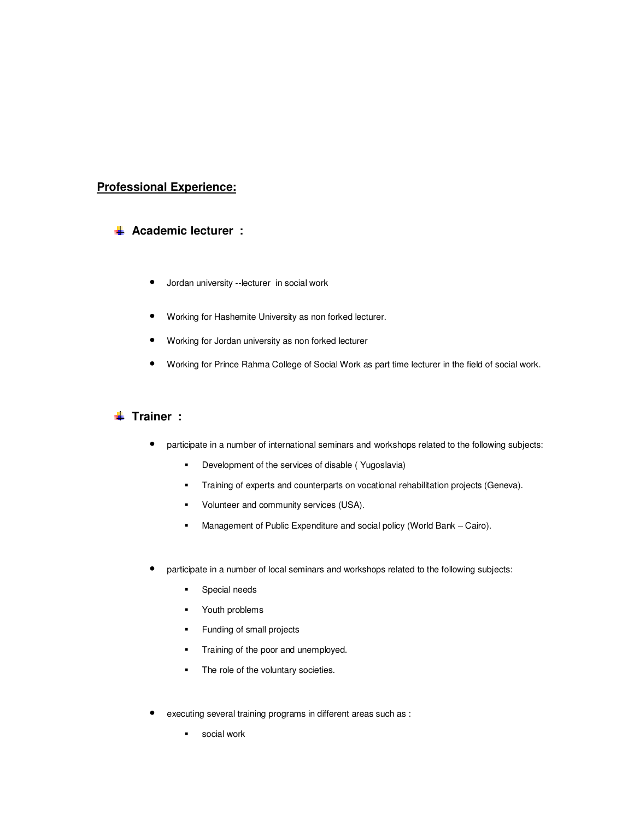# **Professional Experience:**

## **Academic lecturer :**

- Jordan university --lecturer in social work
- Working for Hashemite University as non forked lecturer.
- Working for Jordan university as non forked lecturer
- Working for Prince Rahma College of Social Work as part time lecturer in the field of social work.

## **Trainer** :

- participate in a number of international seminars and workshops related to the following subjects:
	- -Development of the services of disable ( Yugoslavia)
	- -Training of experts and counterparts on vocational rehabilitation projects (Geneva).
	- -Volunteer and community services (USA).
	- -Management of Public Expenditure and social policy (World Bank – Cairo).
- participate in a number of local seminars and workshops related to the following subjects:
	- -Special needs
	- -Youth problems
	- -Funding of small projects
	- -Training of the poor and unemployed.
	- -The role of the voluntary societies.
- executing several training programs in different areas such as :
	- social work